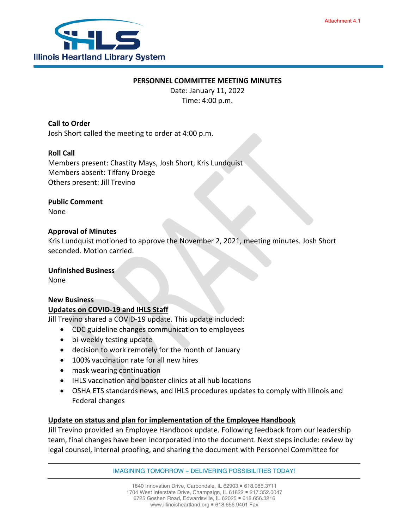

#### **PERSONNEL COMMITTEE MEETING MINUTES**

Date: January 11, 2022 Time: 4:00 p.m.

## **Call to Order**

Josh Short called the meeting to order at 4:00 p.m.

## **Roll Call**

Members present: Chastity Mays, Josh Short, Kris Lundquist Members absent: Tiffany Droege Others present: Jill Trevino

# **Public Comment**

None

#### **Approval of Minutes**

Kris Lundquist motioned to approve the November 2, 2021, meeting minutes. Josh Short seconded. Motion carried.

#### **Unfinished Business**

None

## **New Business**

## **Updates on COVID-19 and IHLS Staff**

Jill Trevino shared a COVID-19 update. This update included:

- CDC guideline changes communication to employees
- bi-weekly testing update
- decision to work remotely for the month of January
- 100% vaccination rate for all new hires
- mask wearing continuation
- IHLS vaccination and booster clinics at all hub locations
- OSHA ETS standards news, and IHLS procedures updates to comply with Illinois and Federal changes

## **Update on status and plan for implementation of the Employee Handbook**

Jill Trevino provided an Employee Handbook update. Following feedback from our leadership team, final changes have been incorporated into the document. Next steps include: review by legal counsel, internal proofing, and sharing the document with Personnel Committee for

IMAGINING TOMORROW ~ DELIVERING POSSIBILITIES TODAY!